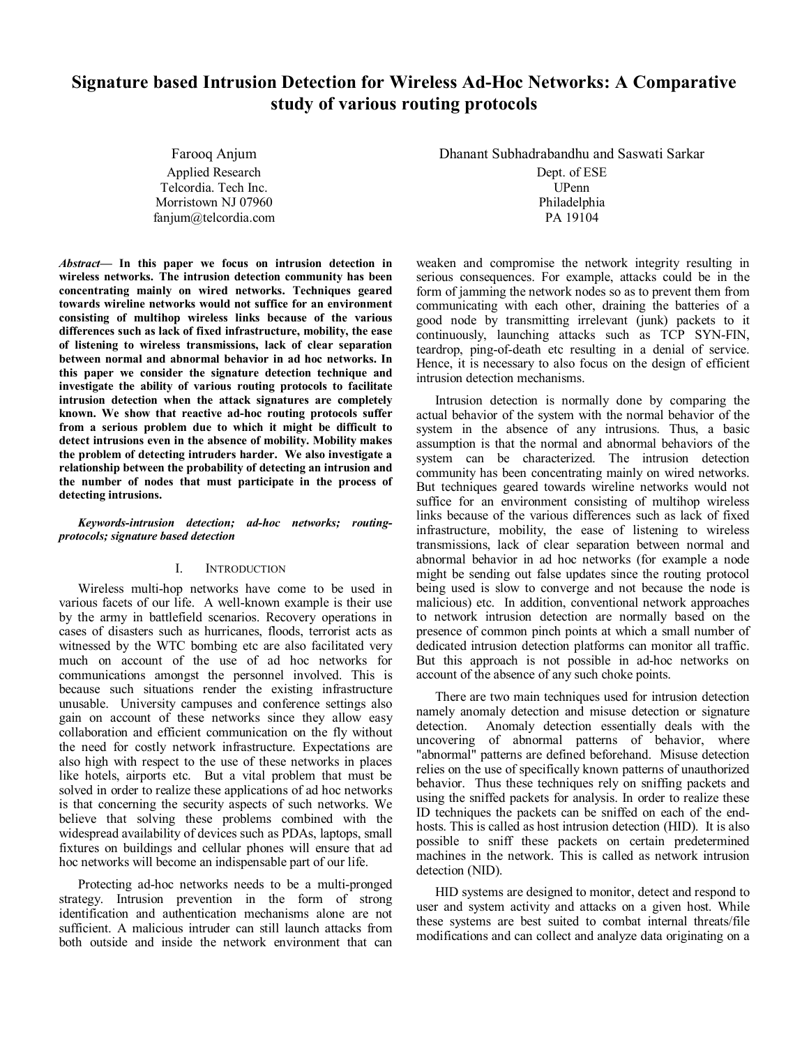# **Signature based Intrusion Detection for Wireless Ad-Hoc Networks: A Comparative study of various routing protocols**

Farooq Anjum Applied Research Telcordia. Tech Inc. Morristown NJ 07960 fanjum@telcordia.com

*Abstract***— In this paper we focus on intrusion detection in wireless networks. The intrusion detection community has been concentrating mainly on wired networks. Techniques geared towards wireline networks would not suffice for an environment consisting of multihop wireless links because of the various differences such as lack of fixed infrastructure, mobility, the ease of listening to wireless transmissions, lack of clear separation between normal and abnormal behavior in ad hoc networks. In this paper we consider the signature detection technique and investigate the ability of various routing protocols to facilitate intrusion detection when the attack signatures are completely known. We show that reactive ad-hoc routing protocols suffer from a serious problem due to which it might be difficult to detect intrusions even in the absence of mobility. Mobility makes the problem of detecting intruders harder. We also investigate a relationship between the probability of detecting an intrusion and the number of nodes that must participate in the process of detecting intrusions.** 

#### *Keywords-intrusion detection; ad-hoc networks; routingprotocols; signature based detection*

#### I. INTRODUCTION

Wireless multi-hop networks have come to be used in various facets of our life. A well-known example is their use by the army in battlefield scenarios. Recovery operations in cases of disasters such as hurricanes, floods, terrorist acts as witnessed by the WTC bombing etc are also facilitated very much on account of the use of ad hoc networks for communications amongst the personnel involved. This is because such situations render the existing infrastructure unusable. University campuses and conference settings also gain on account of these networks since they allow easy collaboration and efficient communication on the fly without the need for costly network infrastructure. Expectations are also high with respect to the use of these networks in places like hotels, airports etc. But a vital problem that must be solved in order to realize these applications of ad hoc networks is that concerning the security aspects of such networks. We believe that solving these problems combined with the widespread availability of devices such as PDAs, laptops, small fixtures on buildings and cellular phones will ensure that ad hoc networks will become an indispensable part of our life.

Protecting ad-hoc networks needs to be a multi-pronged strategy. Intrusion prevention in the form of strong identification and authentication mechanisms alone are not sufficient. A malicious intruder can still launch attacks from both outside and inside the network environment that can

Dhanant Subhadrabandhu and Saswati Sarkar Dept. of ESE

UPenn Philadelphia PA 19104

weaken and compromise the network integrity resulting in serious consequences. For example, attacks could be in the form of jamming the network nodes so as to prevent them from communicating with each other, draining the batteries of a good node by transmitting irrelevant (junk) packets to it continuously, launching attacks such as TCP SYN-FIN, teardrop, ping-of-death etc resulting in a denial of service. Hence, it is necessary to also focus on the design of efficient intrusion detection mechanisms.

Intrusion detection is normally done by comparing the actual behavior of the system with the normal behavior of the system in the absence of any intrusions. Thus, a basic assumption is that the normal and abnormal behaviors of the system can be characterized. The intrusion detection community has been concentrating mainly on wired networks. But techniques geared towards wireline networks would not suffice for an environment consisting of multihop wireless links because of the various differences such as lack of fixed infrastructure, mobility, the ease of listening to wireless transmissions, lack of clear separation between normal and abnormal behavior in ad hoc networks (for example a node might be sending out false updates since the routing protocol being used is slow to converge and not because the node is malicious) etc. In addition, conventional network approaches to network intrusion detection are normally based on the presence of common pinch points at which a small number of dedicated intrusion detection platforms can monitor all traffic. But this approach is not possible in ad-hoc networks on account of the absence of any such choke points.

There are two main techniques used for intrusion detection namely anomaly detection and misuse detection or signature detection. Anomaly detection essentially deals with the uncovering of abnormal patterns of behavior, where "abnormal" patterns are defined beforehand. Misuse detection relies on the use of specifically known patterns of unauthorized behavior. Thus these techniques rely on sniffing packets and using the sniffed packets for analysis. In order to realize these ID techniques the packets can be sniffed on each of the endhosts. This is called as host intrusion detection (HID). It is also possible to sniff these packets on certain predetermined machines in the network. This is called as network intrusion detection (NID).

HID systems are designed to monitor, detect and respond to user and system activity and attacks on a given host. While these systems are best suited to combat internal threats/file modifications and can collect and analyze data originating on a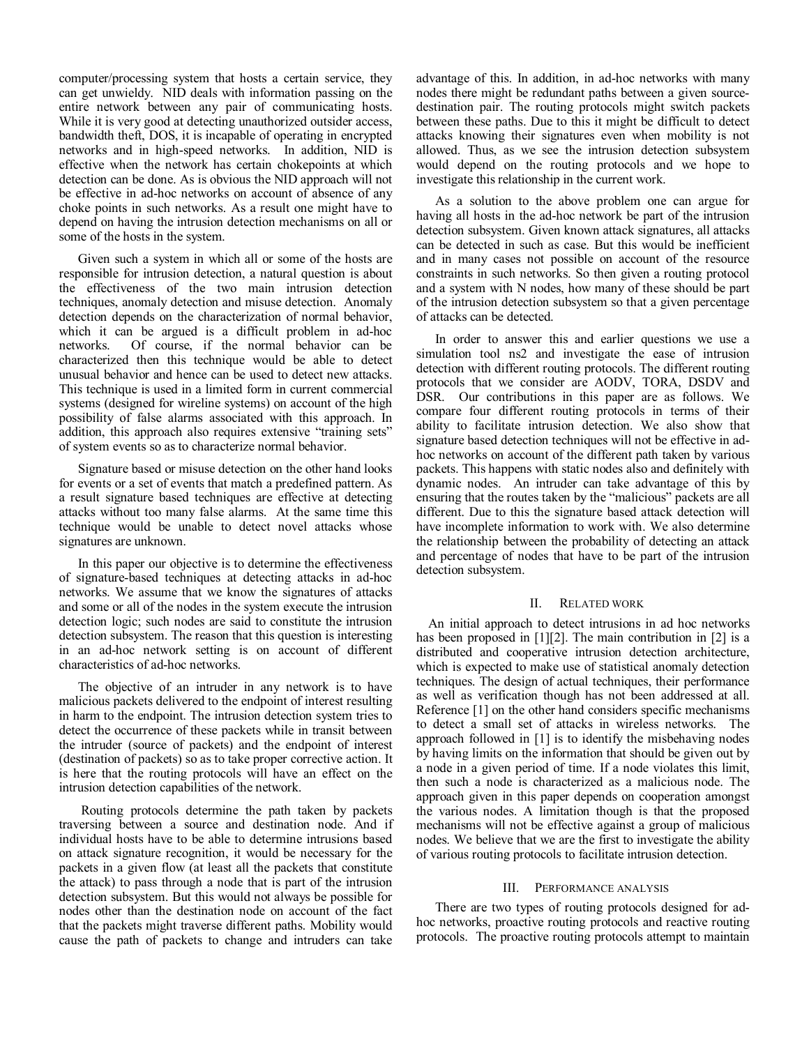computer/processing system that hosts a certain service, they can get unwieldy. NID deals with information passing on the entire network between any pair of communicating hosts. While it is very good at detecting unauthorized outsider access, bandwidth theft, DOS, it is incapable of operating in encrypted networks and in high-speed networks. In addition, NID is effective when the network has certain chokepoints at which detection can be done. As is obvious the NID approach will not be effective in ad-hoc networks on account of absence of any choke points in such networks. As a result one might have to depend on having the intrusion detection mechanisms on all or some of the hosts in the system.

Given such a system in which all or some of the hosts are responsible for intrusion detection, a natural question is about the effectiveness of the two main intrusion detection techniques, anomaly detection and misuse detection. Anomaly detection depends on the characterization of normal behavior, which it can be argued is a difficult problem in ad-hoc networks. Of course, if the normal behavior can be characterized then this technique would be able to detect unusual behavior and hence can be used to detect new attacks. This technique is used in a limited form in current commercial systems (designed for wireline systems) on account of the high possibility of false alarms associated with this approach. In addition, this approach also requires extensive "training sets" of system events so as to characterize normal behavior.

Signature based or misuse detection on the other hand looks for events or a set of events that match a predefined pattern. As a result signature based techniques are effective at detecting attacks without too many false alarms. At the same time this technique would be unable to detect novel attacks whose signatures are unknown.

In this paper our objective is to determine the effectiveness of signature-based techniques at detecting attacks in ad-hoc networks. We assume that we know the signatures of attacks and some or all of the nodes in the system execute the intrusion detection logic; such nodes are said to constitute the intrusion detection subsystem. The reason that this question is interesting in an ad-hoc network setting is on account of different characteristics of ad-hoc networks.

The objective of an intruder in any network is to have malicious packets delivered to the endpoint of interest resulting in harm to the endpoint. The intrusion detection system tries to detect the occurrence of these packets while in transit between the intruder (source of packets) and the endpoint of interest (destination of packets) so as to take proper corrective action. It is here that the routing protocols will have an effect on the intrusion detection capabilities of the network.

 Routing protocols determine the path taken by packets traversing between a source and destination node. And if individual hosts have to be able to determine intrusions based on attack signature recognition, it would be necessary for the packets in a given flow (at least all the packets that constitute the attack) to pass through a node that is part of the intrusion detection subsystem. But this would not always be possible for nodes other than the destination node on account of the fact that the packets might traverse different paths. Mobility would cause the path of packets to change and intruders can take

advantage of this. In addition, in ad-hoc networks with many nodes there might be redundant paths between a given sourcedestination pair. The routing protocols might switch packets between these paths. Due to this it might be difficult to detect attacks knowing their signatures even when mobility is not allowed. Thus, as we see the intrusion detection subsystem would depend on the routing protocols and we hope to investigate this relationship in the current work.

As a solution to the above problem one can argue for having all hosts in the ad-hoc network be part of the intrusion detection subsystem. Given known attack signatures, all attacks can be detected in such as case. But this would be inefficient and in many cases not possible on account of the resource constraints in such networks. So then given a routing protocol and a system with N nodes, how many of these should be part of the intrusion detection subsystem so that a given percentage of attacks can be detected.

In order to answer this and earlier questions we use a simulation tool ns2 and investigate the ease of intrusion detection with different routing protocols. The different routing protocols that we consider are AODV, TORA, DSDV and DSR. Our contributions in this paper are as follows. We compare four different routing protocols in terms of their ability to facilitate intrusion detection. We also show that signature based detection techniques will not be effective in adhoc networks on account of the different path taken by various packets. This happens with static nodes also and definitely with dynamic nodes. An intruder can take advantage of this by ensuring that the routes taken by the "malicious" packets are all different. Due to this the signature based attack detection will have incomplete information to work with. We also determine the relationship between the probability of detecting an attack and percentage of nodes that have to be part of the intrusion detection subsystem.

### II. RELATED WORK

An initial approach to detect intrusions in ad hoc networks has been proposed in [1][2]. The main contribution in [2] is a distributed and cooperative intrusion detection architecture, which is expected to make use of statistical anomaly detection techniques. The design of actual techniques, their performance as well as verification though has not been addressed at all. Reference [1] on the other hand considers specific mechanisms to detect a small set of attacks in wireless networks. The approach followed in [1] is to identify the misbehaving nodes by having limits on the information that should be given out by a node in a given period of time. If a node violates this limit, then such a node is characterized as a malicious node. The approach given in this paper depends on cooperation amongst the various nodes. A limitation though is that the proposed mechanisms will not be effective against a group of malicious nodes. We believe that we are the first to investigate the ability of various routing protocols to facilitate intrusion detection.

#### III. PERFORMANCE ANALYSIS

There are two types of routing protocols designed for adhoc networks, proactive routing protocols and reactive routing protocols. The proactive routing protocols attempt to maintain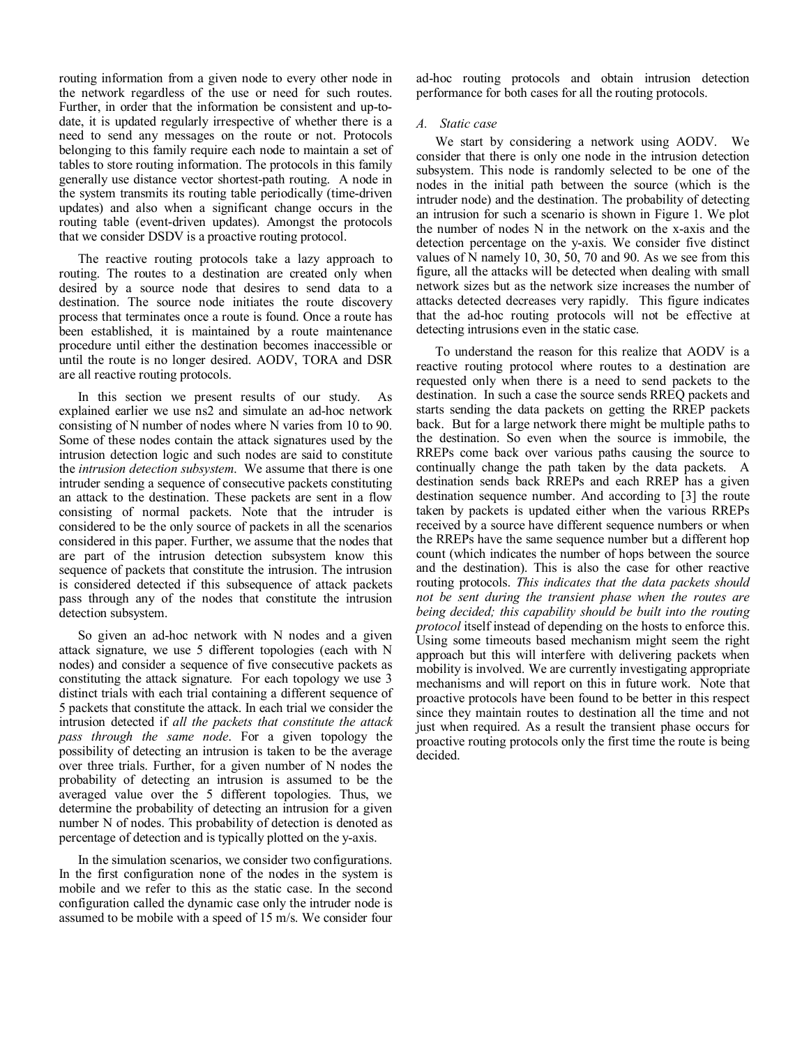routing information from a given node to every other node in the network regardless of the use or need for such routes. Further, in order that the information be consistent and up-todate, it is updated regularly irrespective of whether there is a need to send any messages on the route or not. Protocols belonging to this family require each node to maintain a set of tables to store routing information. The protocols in this family generally use distance vector shortest-path routing. A node in the system transmits its routing table periodically (time-driven updates) and also when a significant change occurs in the routing table (event-driven updates). Amongst the protocols that we consider DSDV is a proactive routing protocol.

The reactive routing protocols take a lazy approach to routing. The routes to a destination are created only when desired by a source node that desires to send data to a destination. The source node initiates the route discovery process that terminates once a route is found. Once a route has been established, it is maintained by a route maintenance procedure until either the destination becomes inaccessible or until the route is no longer desired. AODV, TORA and DSR are all reactive routing protocols.

In this section we present results of our study. As explained earlier we use ns2 and simulate an ad-hoc network consisting of N number of nodes where N varies from 10 to 90. Some of these nodes contain the attack signatures used by the intrusion detection logic and such nodes are said to constitute the *intrusion detection subsystem*. We assume that there is one intruder sending a sequence of consecutive packets constituting an attack to the destination. These packets are sent in a flow consisting of normal packets. Note that the intruder is considered to be the only source of packets in all the scenarios considered in this paper. Further, we assume that the nodes that are part of the intrusion detection subsystem know this sequence of packets that constitute the intrusion. The intrusion is considered detected if this subsequence of attack packets pass through any of the nodes that constitute the intrusion detection subsystem.

So given an ad-hoc network with N nodes and a given attack signature, we use 5 different topologies (each with N nodes) and consider a sequence of five consecutive packets as constituting the attack signature. For each topology we use 3 distinct trials with each trial containing a different sequence of 5 packets that constitute the attack. In each trial we consider the intrusion detected if *all the packets that constitute the attack pass through the same node*. For a given topology the possibility of detecting an intrusion is taken to be the average over three trials. Further, for a given number of N nodes the probability of detecting an intrusion is assumed to be the averaged value over the 5 different topologies. Thus, we determine the probability of detecting an intrusion for a given number N of nodes. This probability of detection is denoted as percentage of detection and is typically plotted on the y-axis.

In the simulation scenarios, we consider two configurations. In the first configuration none of the nodes in the system is mobile and we refer to this as the static case. In the second configuration called the dynamic case only the intruder node is assumed to be mobile with a speed of 15 m/s. We consider four

ad-hoc routing protocols and obtain intrusion detection performance for both cases for all the routing protocols.

## *A. Static case*

We start by considering a network using AODV. We consider that there is only one node in the intrusion detection subsystem. This node is randomly selected to be one of the nodes in the initial path between the source (which is the intruder node) and the destination. The probability of detecting an intrusion for such a scenario is shown in Figure 1. We plot the number of nodes N in the network on the x-axis and the detection percentage on the y-axis. We consider five distinct values of N namely 10, 30, 50, 70 and 90. As we see from this figure, all the attacks will be detected when dealing with small network sizes but as the network size increases the number of attacks detected decreases very rapidly. This figure indicates that the ad-hoc routing protocols will not be effective at detecting intrusions even in the static case.

To understand the reason for this realize that AODV is a reactive routing protocol where routes to a destination are requested only when there is a need to send packets to the destination. In such a case the source sends RREQ packets and starts sending the data packets on getting the RREP packets back. But for a large network there might be multiple paths to the destination. So even when the source is immobile, the RREPs come back over various paths causing the source to continually change the path taken by the data packets. A destination sends back RREPs and each RREP has a given destination sequence number. And according to [3] the route taken by packets is updated either when the various RREPs received by a source have different sequence numbers or when the RREPs have the same sequence number but a different hop count (which indicates the number of hops between the source and the destination). This is also the case for other reactive routing protocols. *This indicates that the data packets should not be sent during the transient phase when the routes are being decided; this capability should be built into the routing protocol* itself instead of depending on the hosts to enforce this. Using some timeouts based mechanism might seem the right approach but this will interfere with delivering packets when mobility is involved. We are currently investigating appropriate mechanisms and will report on this in future work. Note that proactive protocols have been found to be better in this respect since they maintain routes to destination all the time and not just when required. As a result the transient phase occurs for proactive routing protocols only the first time the route is being decided.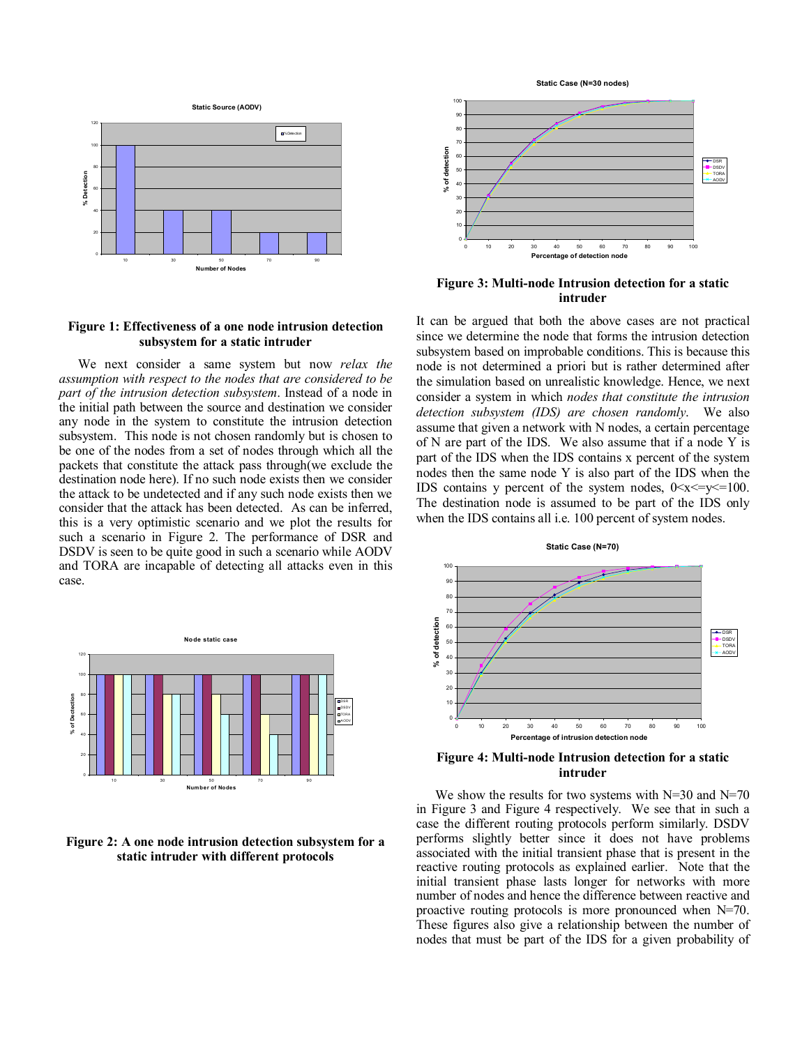

### **Figure 1: Effectiveness of a one node intrusion detection subsystem for a static intruder**

We next consider a same system but now *relax the assumption with respect to the nodes that are considered to be part of the intrusion detection subsystem*. Instead of a node in the initial path between the source and destination we consider any node in the system to constitute the intrusion detection subsystem. This node is not chosen randomly but is chosen to be one of the nodes from a set of nodes through which all the packets that constitute the attack pass through(we exclude the destination node here). If no such node exists then we consider the attack to be undetected and if any such node exists then we consider that the attack has been detected. As can be inferred, this is a very optimistic scenario and we plot the results for such a scenario in Figure 2. The performance of DSR and DSDV is seen to be quite good in such a scenario while AODV and TORA are incapable of detecting all attacks even in this case.



**Figure 2: A one node intrusion detection subsystem for a static intruder with different protocols** 



**Figure 3: Multi-node Intrusion detection for a static intruder** 

It can be argued that both the above cases are not practical since we determine the node that forms the intrusion detection subsystem based on improbable conditions. This is because this node is not determined a priori but is rather determined after the simulation based on unrealistic knowledge. Hence, we next consider a system in which *nodes that constitute the intrusion detection subsystem (IDS) are chosen randomly*. We also assume that given a network with N nodes, a certain percentage of N are part of the IDS. We also assume that if a node Y is part of the IDS when the IDS contains x percent of the system nodes then the same node Y is also part of the IDS when the IDS contains y percent of the system nodes,  $0 \le x \le y \le 100$ . The destination node is assumed to be part of the IDS only when the IDS contains all i.e. 100 percent of system nodes.



**Figure 4: Multi-node Intrusion detection for a static intruder** 

We show the results for two systems with  $N=30$  and  $N=70$ in Figure 3 and Figure 4 respectively. We see that in such a case the different routing protocols perform similarly. DSDV performs slightly better since it does not have problems associated with the initial transient phase that is present in the reactive routing protocols as explained earlier. Note that the initial transient phase lasts longer for networks with more number of nodes and hence the difference between reactive and proactive routing protocols is more pronounced when N=70. These figures also give a relationship between the number of nodes that must be part of the IDS for a given probability of